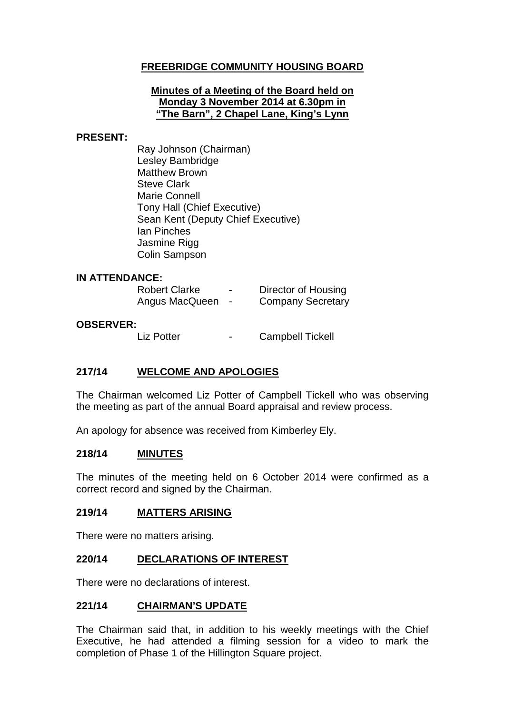# **FREEBRIDGE COMMUNITY HOUSING BOARD**

#### **Minutes of a Meeting of the Board held on Monday 3 November 2014 at 6.30pm in "The Barn", 2 Chapel Lane, King's Lynn**

#### **PRESENT:**

Ray Johnson (Chairman) Lesley Bambridge Matthew Brown Steve Clark Marie Connell Tony Hall (Chief Executive) Sean Kent (Deputy Chief Executive) Ian Pinches Jasmine Rigg Colin Sampson

#### **IN ATTENDANCE:**

| <b>Robert Clarke</b> | - | Director of Housing      |
|----------------------|---|--------------------------|
| Angus MacQueen       |   | <b>Company Secretary</b> |

#### **OBSERVER:**

Liz Potter **-** Campbell Tickell

#### **217/14 WELCOME AND APOLOGIES**

The Chairman welcomed Liz Potter of Campbell Tickell who was observing the meeting as part of the annual Board appraisal and review process.

An apology for absence was received from Kimberley Ely.

#### **218/14 MINUTES**

The minutes of the meeting held on 6 October 2014 were confirmed as a correct record and signed by the Chairman.

#### **219/14 MATTERS ARISING**

There were no matters arising.

#### **220/14 DECLARATIONS OF INTEREST**

There were no declarations of interest.

#### **221/14 CHAIRMAN'S UPDATE**

The Chairman said that, in addition to his weekly meetings with the Chief Executive, he had attended a filming session for a video to mark the completion of Phase 1 of the Hillington Square project.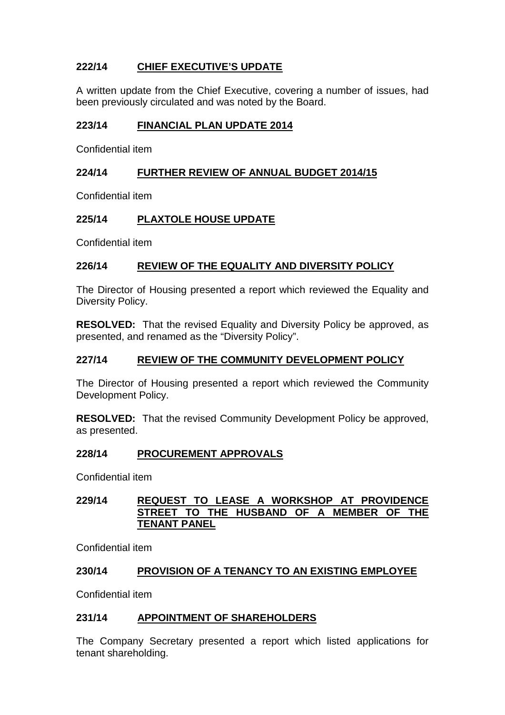# **222/14 CHIEF EXECUTIVE'S UPDATE**

A written update from the Chief Executive, covering a number of issues, had been previously circulated and was noted by the Board.

### **223/14 FINANCIAL PLAN UPDATE 2014**

Confidential item

### **224/14 FURTHER REVIEW OF ANNUAL BUDGET 2014/15**

Confidential item

## **225/14 PLAXTOLE HOUSE UPDATE**

Confidential item

#### **226/14 REVIEW OF THE EQUALITY AND DIVERSITY POLICY**

The Director of Housing presented a report which reviewed the Equality and Diversity Policy.

**RESOLVED:** That the revised Equality and Diversity Policy be approved, as presented, and renamed as the "Diversity Policy".

#### **227/14 REVIEW OF THE COMMUNITY DEVELOPMENT POLICY**

The Director of Housing presented a report which reviewed the Community Development Policy.

**RESOLVED:** That the revised Community Development Policy be approved, as presented.

#### **228/14 PROCUREMENT APPROVALS**

Confidential item

### **229/14 REQUEST TO LEASE A WORKSHOP AT PROVIDENCE STREET TO THE HUSBAND OF A MEMBER OF THE TENANT PANEL**

Confidential item

#### **230/14 PROVISION OF A TENANCY TO AN EXISTING EMPLOYEE**

Confidential item

#### **231/14 APPOINTMENT OF SHAREHOLDERS**

The Company Secretary presented a report which listed applications for tenant shareholding.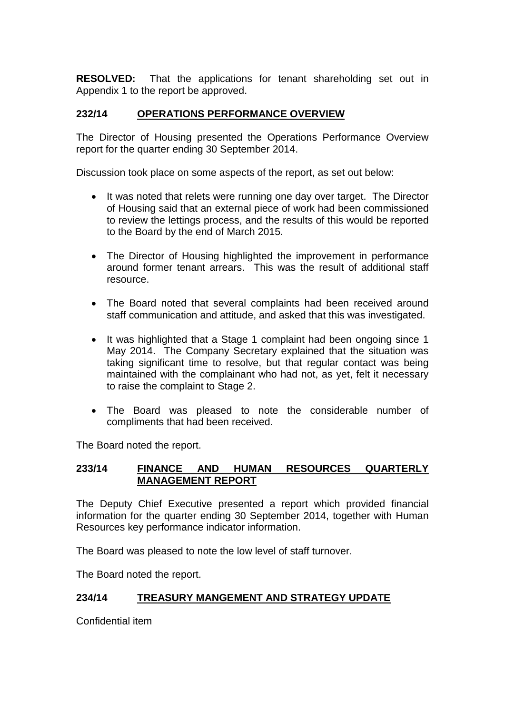**RESOLVED:** That the applications for tenant shareholding set out in Appendix 1 to the report be approved.

### **232/14 OPERATIONS PERFORMANCE OVERVIEW**

The Director of Housing presented the Operations Performance Overview report for the quarter ending 30 September 2014.

Discussion took place on some aspects of the report, as set out below:

- It was noted that relets were running one day over target. The Director of Housing said that an external piece of work had been commissioned to review the lettings process, and the results of this would be reported to the Board by the end of March 2015.
- The Director of Housing highlighted the improvement in performance around former tenant arrears. This was the result of additional staff resource.
- The Board noted that several complaints had been received around staff communication and attitude, and asked that this was investigated.
- It was highlighted that a Stage 1 complaint had been ongoing since 1 May 2014. The Company Secretary explained that the situation was taking significant time to resolve, but that regular contact was being maintained with the complainant who had not, as yet, felt it necessary to raise the complaint to Stage 2.
- The Board was pleased to note the considerable number of compliments that had been received.

The Board noted the report.

### **233/14 FINANCE AND HUMAN RESOURCES QUARTERLY MANAGEMENT REPORT**

The Deputy Chief Executive presented a report which provided financial information for the quarter ending 30 September 2014, together with Human Resources key performance indicator information.

The Board was pleased to note the low level of staff turnover.

The Board noted the report.

#### **234/14 TREASURY MANGEMENT AND STRATEGY UPDATE**

Confidential item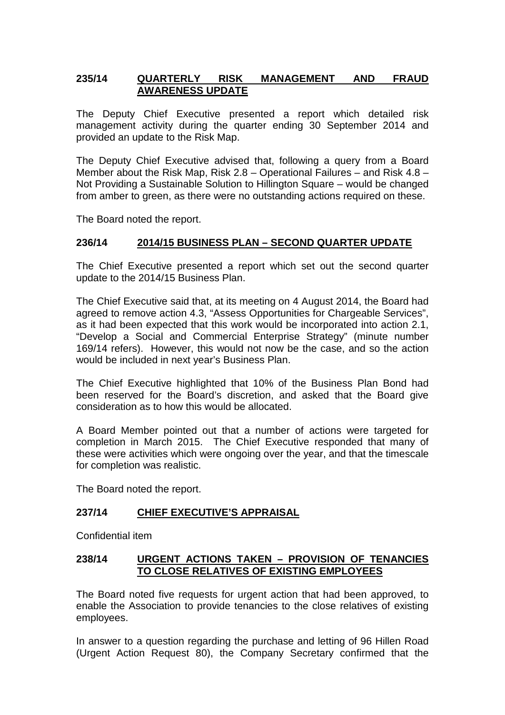### **235/14 QUARTERLY RISK MANAGEMENT AND FRAUD AWARENESS UPDATE**

The Deputy Chief Executive presented a report which detailed risk management activity during the quarter ending 30 September 2014 and provided an update to the Risk Map.

The Deputy Chief Executive advised that, following a query from a Board Member about the Risk Map, Risk 2.8 – Operational Failures – and Risk 4.8 – Not Providing a Sustainable Solution to Hillington Square – would be changed from amber to green, as there were no outstanding actions required on these.

The Board noted the report.

#### **236/14 2014/15 BUSINESS PLAN – SECOND QUARTER UPDATE**

The Chief Executive presented a report which set out the second quarter update to the 2014/15 Business Plan.

The Chief Executive said that, at its meeting on 4 August 2014, the Board had agreed to remove action 4.3, "Assess Opportunities for Chargeable Services", as it had been expected that this work would be incorporated into action 2.1, "Develop a Social and Commercial Enterprise Strategy" (minute number 169/14 refers). However, this would not now be the case, and so the action would be included in next year's Business Plan.

The Chief Executive highlighted that 10% of the Business Plan Bond had been reserved for the Board's discretion, and asked that the Board give consideration as to how this would be allocated.

A Board Member pointed out that a number of actions were targeted for completion in March 2015. The Chief Executive responded that many of these were activities which were ongoing over the year, and that the timescale for completion was realistic.

The Board noted the report.

#### **237/14 CHIEF EXECUTIVE'S APPRAISAL**

Confidential item

#### **238/14 URGENT ACTIONS TAKEN – PROVISION OF TENANCIES TO CLOSE RELATIVES OF EXISTING EMPLOYEES**

The Board noted five requests for urgent action that had been approved, to enable the Association to provide tenancies to the close relatives of existing employees.

In answer to a question regarding the purchase and letting of 96 Hillen Road (Urgent Action Request 80), the Company Secretary confirmed that the